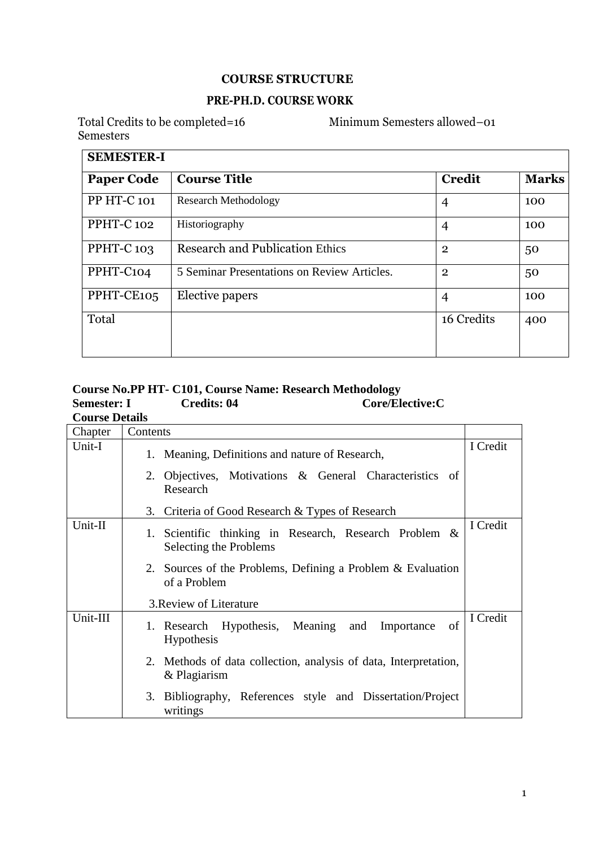#### **COURSE STRUCTURE**

#### **PRE-PH.D. COURSE WORK**

Total Credits to be completed=16 Minimum Semesters allowed–01 Semesters

| <b>SEMESTER-I</b>                        |                                             |                |              |  |
|------------------------------------------|---------------------------------------------|----------------|--------------|--|
| <b>Course Title</b><br><b>Paper Code</b> |                                             | <b>Credit</b>  | <b>Marks</b> |  |
| PP HT-C 101                              | <b>Research Methodology</b>                 | $\overline{4}$ | 100          |  |
| PPHT-C <sub>102</sub>                    | Historiography                              | $\overline{4}$ | 100          |  |
| PPHT-C <sub>103</sub>                    | <b>Research and Publication Ethics</b>      | $\overline{2}$ | 50           |  |
| PPHT-C104                                | 5 Seminar Presentations on Review Articles. | $\overline{2}$ | 50           |  |
| PPHT-CE105                               | Elective papers                             | $\overline{4}$ | 100          |  |
| Total                                    |                                             | 16 Credits     | 400          |  |

#### **Course No.PP HT- C101, Course Name: Research Methodology**   $Core/Electric:$ C **Course Details**

| Cuurst Detans |                                                                                  |          |
|---------------|----------------------------------------------------------------------------------|----------|
| Chapter       | Contents                                                                         |          |
| Unit-I        | 1. Meaning, Definitions and nature of Research,                                  | I Credit |
|               | 2. Objectives, Motivations & General Characteristics of<br>Research              |          |
|               | 3. Criteria of Good Research & Types of Research                                 |          |
| Unit-II       | 1. Scientific thinking in Research, Research Problem &<br>Selecting the Problems | I Credit |
|               | 2. Sources of the Problems, Defining a Problem & Evaluation<br>of a Problem      |          |
|               | 3. Review of Literature                                                          |          |
| Unit-III      | of<br>1. Research Hypothesis, Meaning and Importance<br><b>Hypothesis</b>        | I Credit |
|               | 2. Methods of data collection, analysis of data, Interpretation,<br>& Plagiarism |          |
|               | 3. Bibliography, References style and Dissertation/Project<br>writings           |          |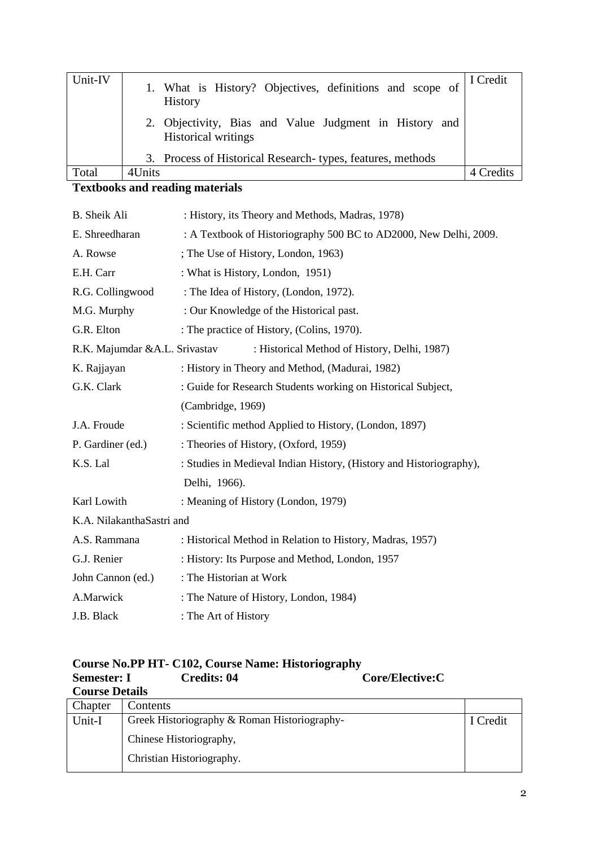| Unit-IV | 1. What is History? Objectives, definitions and scope of<br><b>History</b>           | I Credit  |
|---------|--------------------------------------------------------------------------------------|-----------|
|         | 2. Objectivity, Bias and Value Judgment in History and<br><b>Historical writings</b> |           |
|         | 3. Process of Historical Research-types, features, methods                           |           |
| Total   | 4Units                                                                               | 4 Credits |

# **Textbooks and reading materials**

| B. Sheik Ali                  | : History, its Theory and Methods, Madras, 1978)                    |
|-------------------------------|---------------------------------------------------------------------|
| E. Shreedharan                | : A Textbook of Historiography 500 BC to AD2000, New Delhi, 2009.   |
| A. Rowse                      | ; The Use of History, London, 1963)                                 |
| E.H. Carr                     | : What is History, London, 1951)                                    |
| R.G. Collingwood              | : The Idea of History, (London, 1972).                              |
| M.G. Murphy                   | : Our Knowledge of the Historical past.                             |
| G.R. Elton                    | : The practice of History, (Colins, 1970).                          |
| R.K. Majumdar &A.L. Srivastav | : Historical Method of History, Delhi, 1987)                        |
| K. Rajjayan                   | : History in Theory and Method, (Madurai, 1982)                     |
| G.K. Clark                    | : Guide for Research Students working on Historical Subject,        |
|                               | (Cambridge, 1969)                                                   |
| J.A. Froude                   | : Scientific method Applied to History, (London, 1897)              |
| P. Gardiner (ed.)             | : Theories of History, (Oxford, 1959)                               |
| K.S. Lal                      | : Studies in Medieval Indian History, (History and Historiography), |
|                               | Delhi, 1966).                                                       |
| Karl Lowith                   | : Meaning of History (London, 1979)                                 |
| K.A. NilakanthaSastri and     |                                                                     |
| A.S. Rammana                  | : Historical Method in Relation to History, Madras, 1957)           |
| G.J. Renier                   | : History: Its Purpose and Method, London, 1957                     |
| John Cannon (ed.)             | : The Historian at Work                                             |
| A.Marwick                     | : The Nature of History, London, 1984)                              |
| J.B. Black                    | : The Art of History                                                |

| Course No.PP HT- C102, Course Name: Historiography |             |                 |  |  |
|----------------------------------------------------|-------------|-----------------|--|--|
| Semester: I                                        | Credits: 04 | Core/Elective:C |  |  |
| <b>Course Details</b>                              |             |                 |  |  |

| Chapter | Contents                                     |          |
|---------|----------------------------------------------|----------|
| Unit-I  | Greek Historiography & Roman Historiography- | I Credit |
|         | Chinese Historiography,                      |          |
|         | Christian Historiography.                    |          |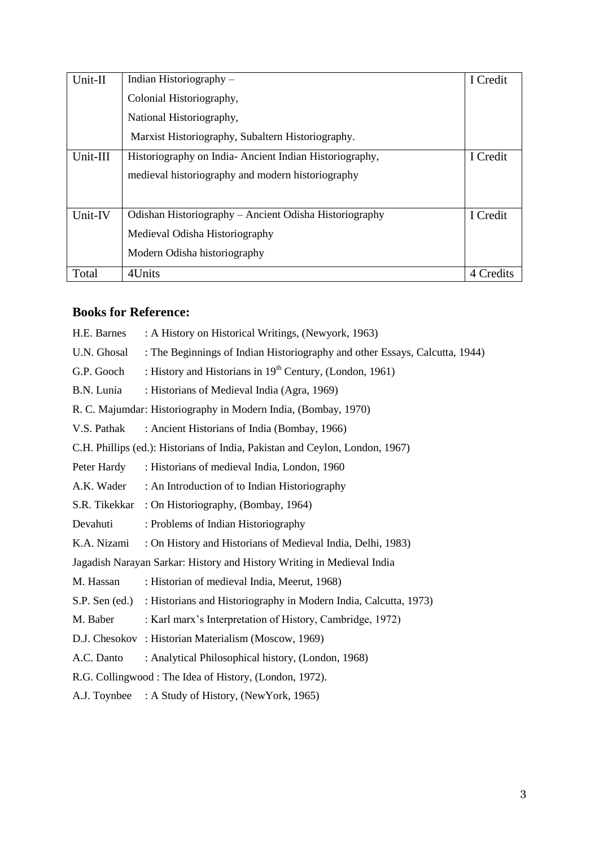| Unit-II  | Indian Historiography $-$                              | I Credit  |
|----------|--------------------------------------------------------|-----------|
|          | Colonial Historiography,                               |           |
|          | National Historiography,                               |           |
|          | Marxist Historiography, Subaltern Historiography.      |           |
| Unit-III | Historiography on India-Ancient Indian Historiography, | I Credit  |
|          | medieval historiography and modern historiography      |           |
|          |                                                        |           |
| Unit-IV  | Odishan Historiography – Ancient Odisha Historiography | I Credit  |
|          | Medieval Odisha Historiography                         |           |
|          | Modern Odisha historiography                           |           |
| Total    | 4Units                                                 | 4 Credits |

## **Books for Reference:**

| H.E. Barnes      | : A History on Historical Writings, (Newyork, 1963)                          |
|------------------|------------------------------------------------------------------------------|
| U.N. Ghosal      | : The Beginnings of Indian Historiography and other Essays, Calcutta, 1944)  |
| G.P. Gooch       | : History and Historians in $19th$ Century, (London, 1961)                   |
| B.N. Lunia       | : Historians of Medieval India (Agra, 1969)                                  |
|                  | R. C. Majumdar: Historiography in Modern India, (Bombay, 1970)               |
| V.S. Pathak      | : Ancient Historians of India (Bombay, 1966)                                 |
|                  | C.H. Phillips (ed.): Historians of India, Pakistan and Ceylon, London, 1967) |
| Peter Hardy      | : Historians of medieval India, London, 1960                                 |
| A.K. Wader       | : An Introduction of to Indian Historiography                                |
| S.R. Tikekkar    | : On Historiography, (Bombay, 1964)                                          |
| Devahuti         | : Problems of Indian Historiography                                          |
| K.A. Nizami      | : On History and Historians of Medieval India, Delhi, 1983)                  |
|                  | Jagadish Narayan Sarkar: History and History Writing in Medieval India       |
| M. Hassan        | : Historian of medieval India, Meerut, 1968)                                 |
| $S.P.$ Sen (ed.) | : Historians and Historiography in Modern India, Calcutta, 1973)             |
| M. Baber         | : Karl marx's Interpretation of History, Cambridge, 1972)                    |
|                  | D.J. Chesokov : Historian Materialism (Moscow, 1969)                         |
| A.C. Danto       | : Analytical Philosophical history, (London, 1968)                           |
|                  | R.G. Collingwood: The Idea of History, (London, 1972).                       |
| A.J. Toynbee     | : A Study of History, (NewYork, 1965)                                        |
|                  |                                                                              |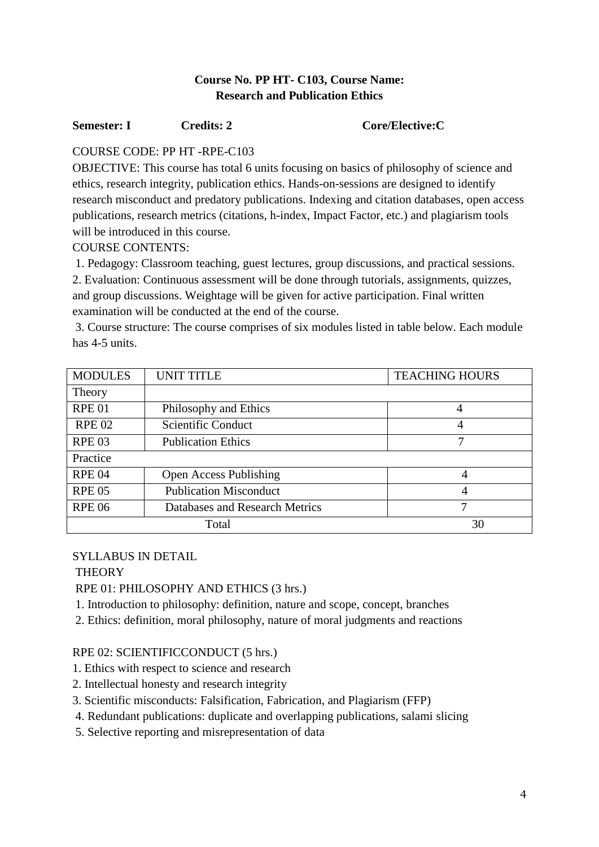## **Course No. PP HT- C103, Course Name: Research and Publication Ethics**

#### **Semester: I Credits: 2 Core/Elective: C**

## COURSE CODE: PP HT -RPE-C103

OBJECTIVE: This course has total 6 units focusing on basics of philosophy of science and ethics, research integrity, publication ethics. Hands-on-sessions are designed to identify research misconduct and predatory publications. Indexing and citation databases, open access publications, research metrics (citations, h-index, Impact Factor, etc.) and plagiarism tools will be introduced in this course.

COURSE CONTENTS:

1. Pedagogy: Classroom teaching, guest lectures, group discussions, and practical sessions. 2. Evaluation: Continuous assessment will be done through tutorials, assignments, quizzes, and group discussions. Weightage will be given for active participation. Final written examination will be conducted at the end of the course.

3. Course structure: The course comprises of six modules listed in table below. Each module has 4-5 units.

| <b>MODULES</b> | <b>UNIT TITLE</b>              | <b>TEACHING HOURS</b> |  |
|----------------|--------------------------------|-----------------------|--|
| Theory         |                                |                       |  |
| <b>RPE 01</b>  | Philosophy and Ethics          |                       |  |
| <b>RPE 02</b>  | Scientific Conduct             |                       |  |
| <b>RPE 03</b>  | <b>Publication Ethics</b>      |                       |  |
| Practice       |                                |                       |  |
| <b>RPE 04</b>  | <b>Open Access Publishing</b>  |                       |  |
| <b>RPE 05</b>  | <b>Publication Misconduct</b>  | 4                     |  |
| <b>RPE 06</b>  | Databases and Research Metrics | 7                     |  |
| 30<br>Total    |                                |                       |  |

## SYLLABUS IN DETAIL

## **THEORY**

RPE 01: PHILOSOPHY AND ETHICS (3 hrs.)

- 1. Introduction to philosophy: definition, nature and scope, concept, branches
- 2. Ethics: definition, moral philosophy, nature of moral judgments and reactions

## RPE 02: SCIENTIFICCONDUCT (5 hrs.)

- 1. Ethics with respect to science and research
- 2. Intellectual honesty and research integrity
- 3. Scientific misconducts: Falsification, Fabrication, and Plagiarism (FFP)
- 4. Redundant publications: duplicate and overlapping publications, salami slicing
- 5. Selective reporting and misrepresentation of data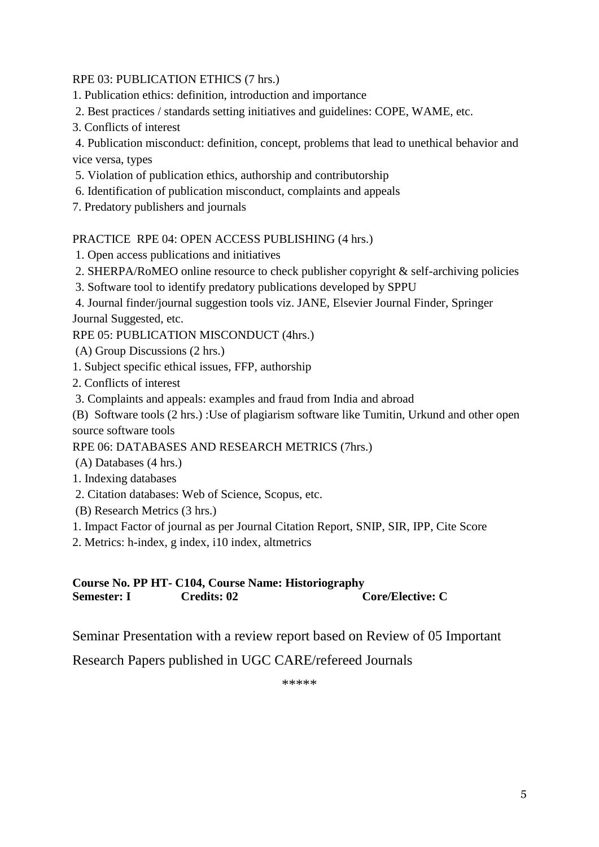#### RPE 03: PUBLICATION ETHICS (7 hrs.)

- 1. Publication ethics: definition, introduction and importance
- 2. Best practices / standards setting initiatives and guidelines: COPE, WAME, etc.
- 3. Conflicts of interest

4. Publication misconduct: definition, concept, problems that lead to unethical behavior and vice versa, types

- 5. Violation of publication ethics, authorship and contributorship
- 6. Identification of publication misconduct, complaints and appeals
- 7. Predatory publishers and journals

PRACTICE RPE 04: OPEN ACCESS PUBLISHING (4 hrs.)

- 1. Open access publications and initiatives
- 2. SHERPA/RoMEO online resource to check publisher copyright & self-archiving policies
- 3. Software tool to identify predatory publications developed by SPPU

4. Journal finder/journal suggestion tools viz. JANE, Elsevier Journal Finder, Springer Journal Suggested, etc.

RPE 05: PUBLICATION MISCONDUCT (4hrs.)

- (A) Group Discussions (2 hrs.)
- 1. Subject specific ethical issues, FFP, authorship
- 2. Conflicts of interest
- 3. Complaints and appeals: examples and fraud from India and abroad

(B) Software tools (2 hrs.) :Use of plagiarism software like Tumitin, Urkund and other open source software tools

RPE 06: DATABASES AND RESEARCH METRICS (7hrs.)

- (A) Databases (4 hrs.)
- 1. Indexing databases
- 2. Citation databases: Web of Science, Scopus, etc.
- (B) Research Metrics (3 hrs.)
- 1. Impact Factor of journal as per Journal Citation Report, SNIP, SIR, IPP, Cite Score
- 2. Metrics: h-index, g index, i10 index, altmetrics

**Course No. PP HT- C104, Course Name: Historiography Semester: I Credits: 02 Core/Elective: C** 

Seminar Presentation with a review report based on Review of 05 Important

Research Papers published in UGC CARE/refereed Journals

\*\*\*\*\*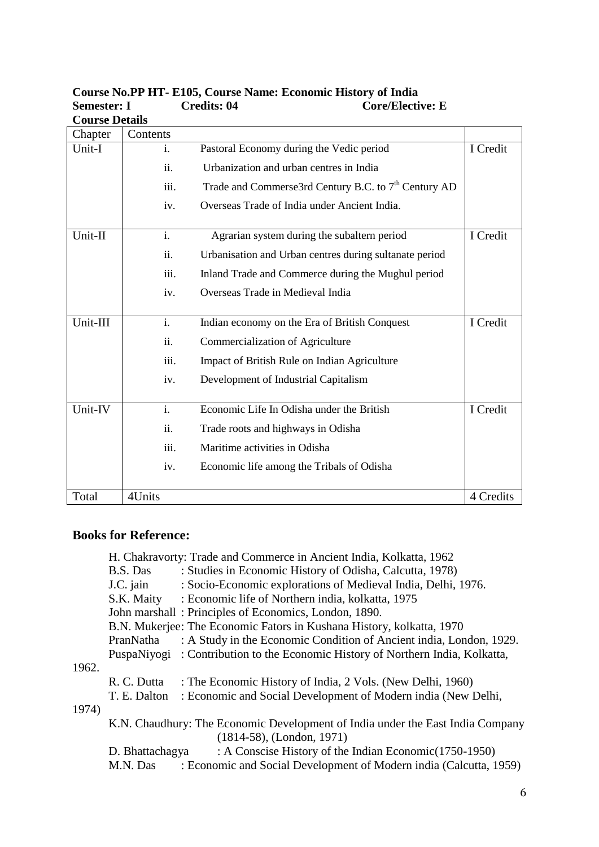| <b>Course Details</b> |                |                                                                  |           |
|-----------------------|----------------|------------------------------------------------------------------|-----------|
| Chapter               | Contents       |                                                                  |           |
| Unit-I                | i.             | Pastoral Economy during the Vedic period                         | I Credit  |
|                       | ii.            | Urbanization and urban centres in India                          |           |
|                       | iii.           | Trade and Commerse3rd Century B.C. to 7 <sup>th</sup> Century AD |           |
|                       | iv.            | Overseas Trade of India under Ancient India.                     |           |
| Unit-II               | i.             | Agrarian system during the subaltern period                      | I Credit  |
|                       | ii.            | Urbanisation and Urban centres during sultanate period           |           |
|                       | iii.           | Inland Trade and Commerce during the Mughul period               |           |
|                       | iv.            | Overseas Trade in Medieval India                                 |           |
|                       |                |                                                                  |           |
| Unit-III              | i.             | Indian economy on the Era of British Conquest                    | I Credit  |
|                       | ii.            | Commercialization of Agriculture                                 |           |
|                       | iii.           | Impact of British Rule on Indian Agriculture                     |           |
|                       | iv.            | Development of Industrial Capitalism                             |           |
|                       |                |                                                                  |           |
| Unit-IV               | $\mathbf{i}$ . | Economic Life In Odisha under the British                        | I Credit  |
|                       | ii.            | Trade roots and highways in Odisha                               |           |
|                       | iii.           | Maritime activities in Odisha                                    |           |
|                       | iv.            | Economic life among the Tribals of Odisha                        |           |
|                       |                |                                                                  |           |
| Total                 | 4Units         |                                                                  | 4 Credits |

#### **Course No.PP HT- E105, Course Name: Economic History of India Semester: I** Credits: 04 Core/Elective: E **Course Details**

## **Books for Reference:**

|       |                 | H. Chakravorty: Trade and Commerce in Ancient India, Kolkatta, 1962            |
|-------|-----------------|--------------------------------------------------------------------------------|
|       | B.S. Das        | : Studies in Economic History of Odisha, Calcutta, 1978)                       |
|       | J.C. jain       | : Socio-Economic explorations of Medieval India, Delhi, 1976.                  |
|       | S.K. Maity      | : Economic life of Northern india, kolkatta, 1975                              |
|       |                 | John marshall: Principles of Economics, London, 1890.                          |
|       |                 | B.N. Mukerjee: The Economic Fators in Kushana History, kolkatta, 1970          |
|       | PranNatha       | : A Study in the Economic Condition of Ancient india, London, 1929.            |
|       |                 | PuspaNiyogi: Contribution to the Economic History of Northern India, Kolkatta, |
| 1962. |                 |                                                                                |
|       | R. C. Dutta     | : The Economic History of India, 2 Vols. (New Delhi, 1960)                     |
|       | T. E. Dalton    | : Economic and Social Development of Modern india (New Delhi,                  |
| 1974) |                 |                                                                                |
|       |                 | K.N. Chaudhury: The Economic Development of India under the East India Company |
|       |                 | $(1814-58)$ , (London, 1971)                                                   |
|       | D. Bhattachagya | : A Conscise History of the Indian Economic (1750-1950)                        |
|       | M.N. Das        | : Economic and Social Development of Modern india (Calcutta, 1959)             |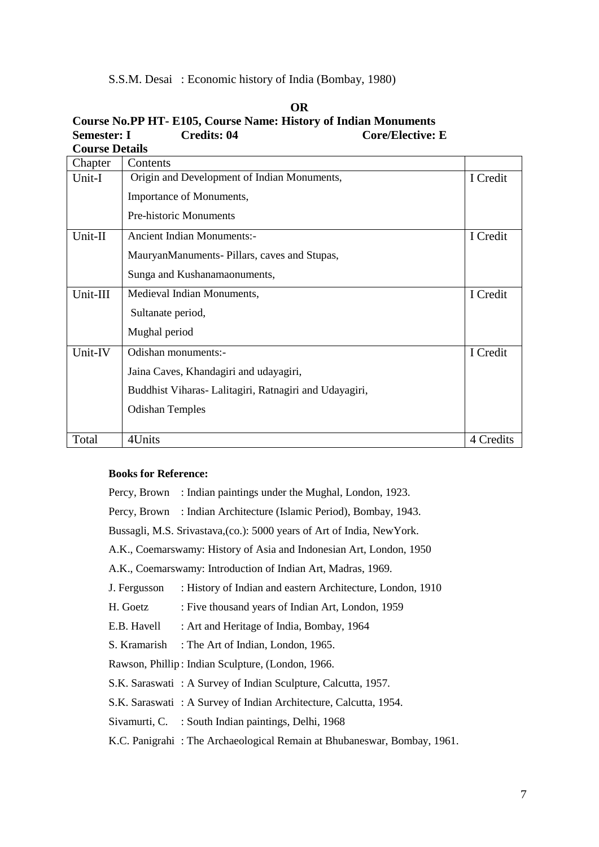S.S.M. Desai : Economic history of India (Bombay, 1980)

| <b>Course Details</b> |                                                        |           |
|-----------------------|--------------------------------------------------------|-----------|
| Chapter               | Contents                                               |           |
| Unit-I                | Origin and Development of Indian Monuments,            | I Credit  |
|                       | Importance of Monuments,                               |           |
|                       | <b>Pre-historic Monuments</b>                          |           |
| Unit-II               | <b>Ancient Indian Monuments:-</b>                      | I Credit  |
|                       | MauryanManuments-Pillars, caves and Stupas,            |           |
|                       | Sunga and Kushanamaonuments,                           |           |
| Unit-III              | Medieval Indian Monuments,                             | I Credit  |
|                       | Sultanate period,                                      |           |
|                       | Mughal period                                          |           |
| Unit-IV               | Odishan monuments:-                                    | I Credit  |
|                       | Jaina Caves, Khandagiri and udayagiri,                 |           |
|                       | Buddhist Viharas- Lalitagiri, Ratnagiri and Udayagiri, |           |
|                       | <b>Odishan Temples</b>                                 |           |
|                       |                                                        |           |
| Total                 | 4Units                                                 | 4 Credits |

## **OR Course No.PP HT- E105, Course Name: History of Indian Monuments Semester: I** Credits: 04 Core/Elective: E

#### **Books for Reference:**

Percy, Brown : Indian paintings under the Mughal, London, 1923. Percy, Brown : Indian Architecture (Islamic Period), Bombay, 1943. Bussagli, M.S. Srivastava,(co.): 5000 years of Art of India, NewYork. A.K., Coemarswamy: History of Asia and Indonesian Art, London, 1950 A.K., Coemarswamy: Introduction of Indian Art, Madras, 1969. J. Fergusson : History of Indian and eastern Architecture, London, 1910 H. Goetz : Five thousand years of Indian Art, London, 1959 E.B. Havell : Art and Heritage of India, Bombay, 1964 S. Kramarish : The Art of Indian, London, 1965. Rawson, Phillip : Indian Sculpture, (London, 1966. S.K. Saraswati : A Survey of Indian Sculpture, Calcutta, 1957. S.K. Saraswati : A Survey of Indian Architecture, Calcutta, 1954. Sivamurti, C. : South Indian paintings, Delhi, 1968

K.C. Panigrahi : The Archaeological Remain at Bhubaneswar, Bombay, 1961.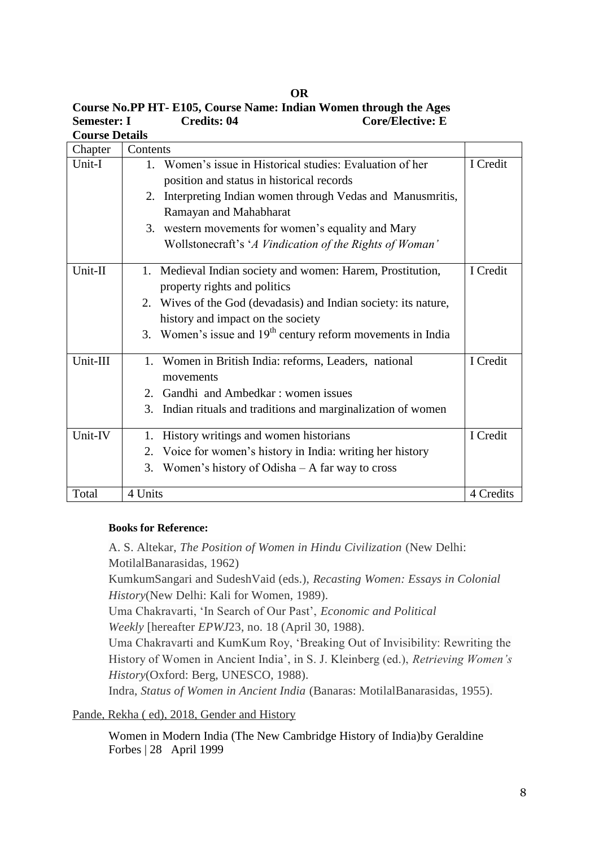| <b>Course Details</b> |                                                                  |           |
|-----------------------|------------------------------------------------------------------|-----------|
| Chapter               | Contents                                                         |           |
| Unit-I                | 1. Women's issue in Historical studies: Evaluation of her        | I Credit  |
|                       | position and status in historical records                        |           |
|                       | Interpreting Indian women through Vedas and Manusmritis,<br>2.   |           |
|                       | Ramayan and Mahabharat                                           |           |
|                       | 3. western movements for women's equality and Mary               |           |
|                       | Wollstonecraft's 'A Vindication of the Rights of Woman'          |           |
| Unit-II               | Medieval Indian society and women: Harem, Prostitution,<br>1.    | I Credit  |
|                       | property rights and politics                                     |           |
|                       |                                                                  |           |
|                       | 2. Wives of the God (devadasis) and Indian society: its nature,  |           |
|                       | history and impact on the society                                |           |
|                       | 3. Women's issue and $19th$ century reform movements in India    |           |
| Unit-III              | 1. Women in British India: reforms, Leaders, national            | I Credit  |
|                       | movements                                                        |           |
|                       | 2. Gandhi and Ambedkar: women issues                             |           |
|                       | Indian rituals and traditions and marginalization of women<br>3. |           |
|                       |                                                                  |           |
| Unit-IV               | History writings and women historians<br>1.                      | I Credit  |
|                       | 2. Voice for women's history in India: writing her history       |           |
|                       | 3. Women's history of Odisha $-$ A far way to cross              |           |
|                       |                                                                  |           |
| Total                 | 4 Units                                                          | 4 Credits |

**OR Course No.PP HT- E105, Course Name: Indian Women through the Ages Semester: I Credits: 04 Core/Elective: E** 

#### **Books for Reference:**

A. S. Altekar, *The Position of Women in Hindu Civilization* (New Delhi: MotilalBanarasidas, 1962)

KumkumSangari and SudeshVaid (eds.), *Recasting Women: Essays in Colonial History*(New Delhi: Kali for Women, 1989).

Uma Chakravarti, 'In Search of Our Past', *Economic and Political* 

*Weekly* [hereafter *EPWJ*23, no. 18 (April 30, 1988)[.](https://www.bl.uk/collection-items/mary-wollstonecraft-a-vindication-of-the-rights-of-woman?shelfitemviewer=1)

Uma Chakravarti and KumKum Roy, 'Breaking Out of Invisibility: Rewriting the History of Women in Ancient India', in S. J. Kleinberg (ed.), *Retrieving Women's History*(Oxford: Berg, UNESCO, 1988).

Indra, *Status of Women in Ancient India* (Banaras: MotilalBanarasidas, 1955).

[Pande, Rekha \( ed\), 2018, Gender and History](https://www.academia.edu/36591852/Pande_Rekha_ed_2018_Gender_and_History)

[Women in Modern India \(The New Cambridge History of India\)b](https://www.amazon.in/Women-Modern-India-Cambridge-History/dp/0521653770/ref=sr_1_1?qid=1558513244&refinements=p_27%3AGeraldine+Forbes&s=books&sr=1-1)y Geraldine Forbes | 28 April 1999